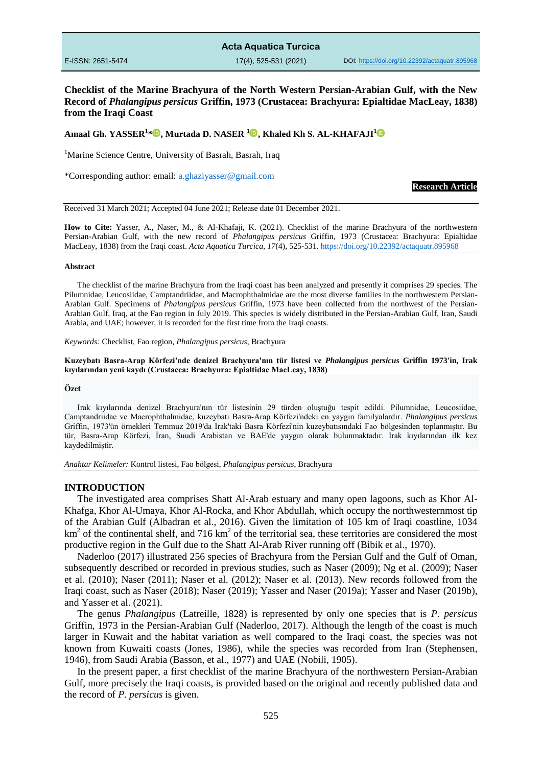|                   | <b>Acta Aquatica Turcica</b> |                                                |
|-------------------|------------------------------|------------------------------------------------|
| E-ISSN: 2651-5474 | $17(4)$ , 525-531 (2021)     | DOI: https://doi.org/10.22392/actaguatr.895968 |

## **Checklist of the Marine Brachyura of the North Western Persian-Arabian Gulf, with the New Record of** *Phalangipus persicus* **Griffin, 1973 (Crustacea: Brachyura: Epialtidae MacLeay, 1838) from the Iraqi Coast**

### **Amaal Gh. YASSER<sup>1</sup> \* , Murtada D. NASER [1](https://orcid.org/0000-0001-5047-7657) , Khaled Kh S. AL-KHAFAJI<sup>1</sup>**

<sup>1</sup>Marine Science Centre, University of Basrah, Basrah, Iraq

\*Corresponding author: email: [a.ghaziyasser@gmail.com](mailto:a.ghaziyasser@gmail.com)

**Research Article**

Received 31 March 2021; Accepted 04 June 2021; Release date 01 December 2021.

**How to Cite:** Yasser, A., Naser, M., & Al-Khafaji, K. (2021). Checklist of the marine Brachyura of the northwestern Persian-Arabian Gulf, with the new record of *Phalangipus persicus* Griffin, 1973 (Crustacea: Brachyura: Epialtidae MacLeay, 1838) from the Iraqi coast. *Acta Aquatica Turcica, 17*(4), 525-531[. https://doi.org/10.22392/actaquatr.895968](https://doi.org/10.22392/actaquatr.895968)

#### **Abstract**

The checklist of the marine Brachyura from the Iraqi coast has been analyzed and presently it comprises 29 species. The Pilumnidae, Leucosiidae, Camptandriidae, and Macrophthalmidae are the most diverse families in the northwestern Persian-Arabian Gulf. Specimens of *Phalangipus persicus* Griffin, 1973 have been collected from the northwest of the Persian-Arabian Gulf, Iraq, at the Fao region in July 2019. This species is widely distributed in the Persian-Arabian Gulf, Iran, Saudi Arabia, and UAE; however, it is recorded for the first time from the Iraqi coasts.

*Keywords:* Checklist, Fao region, *Phalangipus persicus*, Brachyura

#### **Kuzeybatı Basra-Arap Körfezi'nde denizel Brachyura'nın tür listesi ve** *Phalangipus persicus* **Griffin 1973'in, Irak kıyılarından yeni kaydı (Crustacea: Brachyura: Epialtidae MacLeay, 1838)**

#### **Özet**

Irak kıyılarında denizel Brachyura'nın tür listesinin 29 türden oluştuğu tespit edildi. Pilumnidae, Leucosiidae, Camptandriidae ve Macrophthalmidae, kuzeybatı Basra-Arap Körfezi'ndeki en yaygın familyalardır. *Phalangipus persicus* Griffin, 1973'ün örnekleri Temmuz 2019'da Irak'taki Basra Körfezi'nin kuzeybatısındaki Fao bölgesinden toplanmıştır. Bu tür, Basra-Arap Körfezi, İran, Suudi Arabistan ve BAE'de yaygın olarak bulunmaktadır. Irak kıyılarından ilk kez kaydedilmiştir.

*Anahtar Kelimeler:* Kontrol listesi, Fao bölgesi, *Phalangipus persicus*, Brachyura

#### **INTRODUCTION**

The investigated area comprises Shatt Al-Arab estuary and many open lagoons, such as Khor Al-Khafga, Khor Al-Umaya, Khor Al-Rocka, and Khor Abdullah, which occupy the northwesternmost tip of the Arabian Gulf (Albadran et al., 2016). Given the limitation of 105 km of Iraqi coastline, 1034 km<sup>2</sup> of the continental shelf, and 716 km<sup>2</sup> of the territorial sea, these territories are considered the most productive region in the Gulf due to the Shatt Al-Arab River running off (Bibik et al., 1970).

Naderloo (2017) illustrated 256 species of Brachyura from the Persian Gulf and the Gulf of Oman, subsequently described or recorded in previous studies, such as Naser (2009); Ng et al. (2009); Naser et al. (2010); Naser (2011); Naser et al. (2012); Naser et al. (2013). New records followed from the Iraqi coast, such as Naser (2018); Naser (2019); Yasser and Naser (2019a); Yasser and Naser (2019b), and Yasser et al. (2021).

The genus *Phalangipus* (Latreille, 1828) is represented by only one species that is *P. persicus* Griffin, 1973 in the Persian-Arabian Gulf (Naderloo, 2017). Although the length of the coast is much larger in Kuwait and the habitat variation as well compared to the Iraqi coast, the species was not known from Kuwaiti coasts (Jones, 1986), while the species was recorded from Iran (Stephensen, 1946), from Saudi Arabia (Basson, et al., 1977) and UAE (Nobili, 1905).

In the present paper, a first checklist of the marine Brachyura of the northwestern Persian-Arabian Gulf, more precisely the Iraqi coasts, is provided based on the original and recently published data and the record of *P. persicus* is given.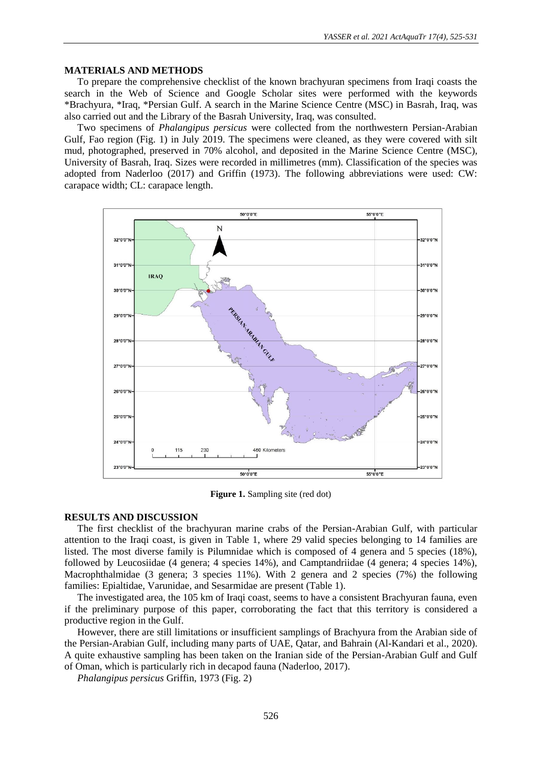# **MATERIALS AND METHODS**

To prepare the comprehensive checklist of the known brachyuran specimens from Iraqi coasts the search in the Web of Science and Google Scholar sites were performed with the keywords \*Brachyura, \*Iraq, \*Persian Gulf. A search in the Marine Science Centre (MSC) in Basrah, Iraq, was also carried out and the Library of the Basrah University, Iraq, was consulted.

Two specimens of *Phalangipus persicus* were collected from the northwestern Persian-Arabian Gulf, Fao region (Fig. 1) in July 2019. The specimens were cleaned, as they were covered with silt mud, photographed, preserved in 70% alcohol, and deposited in the Marine Science Centre (MSC), University of Basrah, Iraq. Sizes were recorded in millimetres (mm). Classification of the species was adopted from Naderloo (2017) and Griffin (1973). The following abbreviations were used: CW: carapace width; CL: carapace length.



**Figure 1.** Sampling site (red dot)

# **RESULTS AND DISCUSSION**

The first checklist of the brachyuran marine crabs of the Persian-Arabian Gulf, with particular attention to the Iraqi coast, is given in Table 1, where 29 valid species belonging to 14 families are listed. The most diverse family is Pilumnidae which is composed of 4 genera and 5 species (18%), followed by Leucosiidae (4 genera; 4 species 14%), and Camptandriidae (4 genera; 4 species 14%), Macrophthalmidae (3 genera; 3 species 11%). With 2 genera and 2 species (7%) the following families: Epialtidae, Varunidae, and Sesarmidae are present (Table 1).

The investigated area, the 105 km of Iraqi coast, seems to have a consistent Brachyuran fauna, even if the preliminary purpose of this paper, corroborating the fact that this territory is considered a productive region in the Gulf.

However, there are still limitations or insufficient samplings of Brachyura from the Arabian side of the Persian-Arabian Gulf, including many parts of UAE, Qatar, and Bahrain (Al-Kandari et al., 2020). A quite exhaustive sampling has been taken on the Iranian side of the Persian-Arabian Gulf and Gulf of Oman, which is particularly rich in decapod fauna (Naderloo, 2017).

*Phalangipus persicus* Griffin, 1973 (Fig. 2)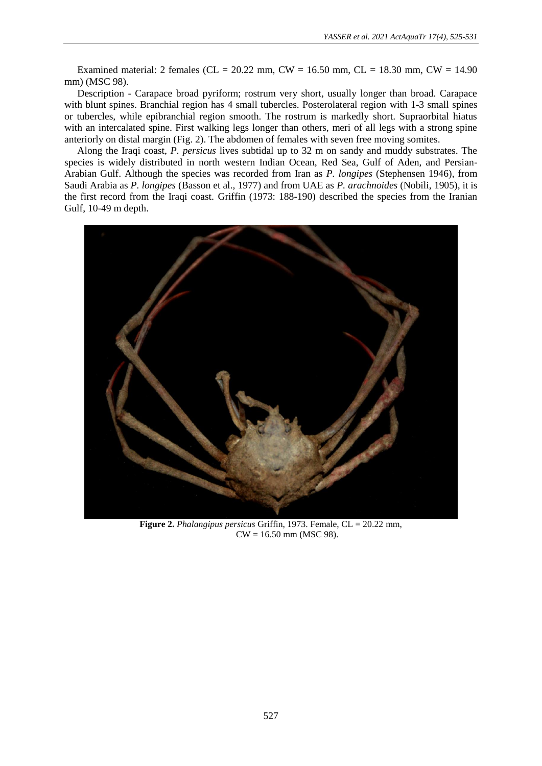Examined material: 2 females (CL = 20.22 mm, CW = 16.50 mm, CL = 18.30 mm, CW = 14.90 mm) (MSC 98).

Description - Carapace broad pyriform; rostrum very short, usually longer than broad. Carapace with blunt spines. Branchial region has 4 small tubercles. Posterolateral region with 1-3 small spines or tubercles, while epibranchial region smooth. The rostrum is markedly short. Supraorbital hiatus with an intercalated spine. First walking legs longer than others, meri of all legs with a strong spine anteriorly on distal margin (Fig. 2). The abdomen of females with seven free moving somites.

Along the Iraqi coast, *P. persicus* lives subtidal up to 32 m on sandy and muddy substrates. The species is widely distributed in north western Indian Ocean, Red Sea, Gulf of Aden, and Persian-Arabian Gulf. Although the species was recorded from Iran as *P. longipes* (Stephensen 1946), from Saudi Arabia as *P. longipes* (Basson et al., 1977) and from UAE as *P. arachnoides* (Nobili, 1905), it is the first record from the Iraqi coast. Griffin (1973: 188-190) described the species from the Iranian Gulf, 10-49 m depth.



**Figure 2.** *Phalangipus persicus* Griffin, 1973. Female, CL = 20.22 mm,  $CW = 16.50$  mm (MSC 98).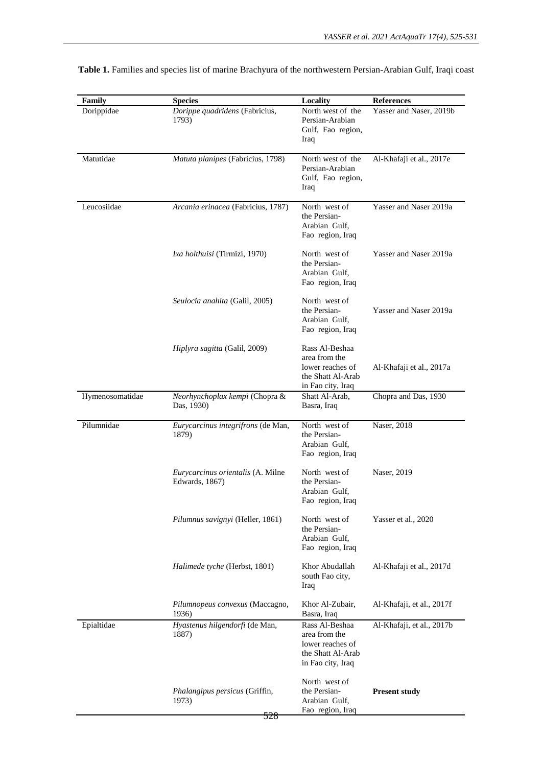| Family          | <b>Species</b>                                        | Locality                                                                                      | <b>References</b>         |
|-----------------|-------------------------------------------------------|-----------------------------------------------------------------------------------------------|---------------------------|
| Dorippidae      | Dorippe quadridens (Fabricius,<br>1793)               | North west of the<br>Persian-Arabian<br>Gulf, Fao region,<br>Iraq                             | Yasser and Naser, 2019b   |
| Matutidae       | Matuta planipes (Fabricius, 1798)                     | North west of the<br>Persian-Arabian<br>Gulf, Fao region,<br>Iraq                             | Al-Khafaji et al., 2017e  |
| Leucosiidae     | Arcania erinacea (Fabricius, 1787)                    | North west of<br>the Persian-<br>Arabian Gulf,<br>Fao region, Iraq                            | Yasser and Naser 2019a    |
|                 | Ixa holthuisi (Tirmizi, 1970)                         | North west of<br>the Persian-<br>Arabian Gulf.<br>Fao region, Iraq                            | Yasser and Naser 2019a    |
|                 | Seulocia anahita (Galil, 2005)                        | North west of<br>the Persian-<br>Arabian Gulf,<br>Fao region, Iraq                            | Yasser and Naser 2019a    |
|                 | Hiplyra sagitta (Galil, 2009)                         | Rass Al-Beshaa<br>area from the<br>lower reaches of<br>the Shatt Al-Arab<br>in Fao city, Iraq | Al-Khafaji et al., 2017a  |
| Hymenosomatidae | Neorhynchoplax kempi (Chopra &<br>Das, 1930)          | Shatt Al-Arab,<br>Basra, Iraq                                                                 | Chopra and Das, 1930      |
| Pilumnidae      | Eurycarcinus integrifrons (de Man,<br>1879)           | North west of<br>the Persian-<br>Arabian Gulf,<br>Fao region, Iraq                            | Naser, 2018               |
|                 | Eurycarcinus orientalis (A. Milne<br>Edwards, 1867)   | North west of<br>the Persian-<br>Arabian Gulf,<br>Fao region, Iraq                            | Naser, 2019               |
|                 | Pilumnus savignyi (Heller, 1861)                      | North west of<br>the Persian-<br>Arabian Gulf,<br>Fao region, Iraq                            | Yasser et al., 2020       |
|                 | Halimede tyche (Herbst, 1801)                         | Khor Abudallah<br>south Fao city,<br>Iraq                                                     | Al-Khafaji et al., 2017d  |
|                 | Pilumnopeus convexus (Maccagno,<br>1936)              | Khor Al-Zubair,<br>Basra, Iraq                                                                | Al-Khafaji, et al., 2017f |
| Epialtidae      | Hyastenus hilgendorfi (de Man,<br>1887)               | Rass Al-Beshaa<br>area from the<br>lower reaches of<br>the Shatt Al-Arab<br>in Fao city, Iraq | Al-Khafaji, et al., 2017b |
|                 | <i>Phalangipus persicus</i> (Griffin,<br>1973)<br>528 | North west of<br>the Persian-<br>Arabian Gulf,<br>Fao region, Iraq                            | <b>Present study</b>      |

 **Table 1.** Families and species list of marine Brachyura of the northwestern Persian-Arabian Gulf, Iraqi coast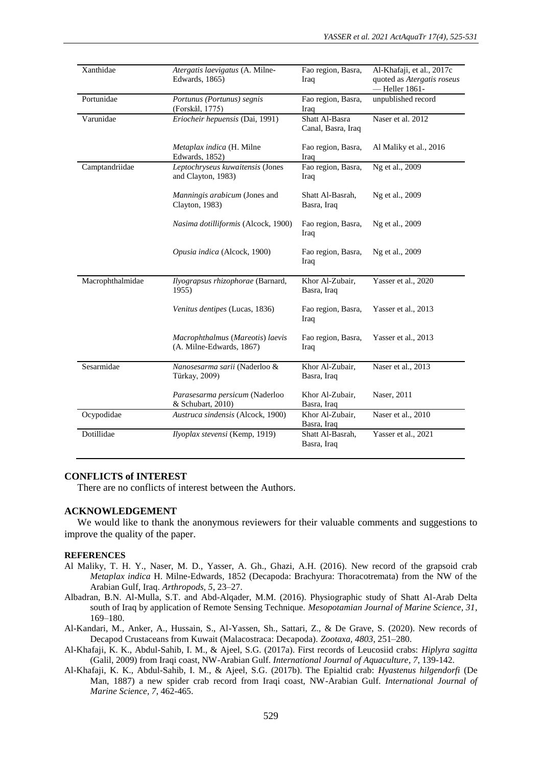| Xanthidae        | Atergatis laevigatus (A. Milne-<br>Edwards, 1865)            | Fao region, Basra,<br>Iraq           | Al-Khafaji, et al., 2017c<br>quoted as Atergatis roseus<br>-Heller 1861- |
|------------------|--------------------------------------------------------------|--------------------------------------|--------------------------------------------------------------------------|
| Portunidae       | Portunus (Portunus) segnis<br>(Forskål, 1775)                | Fao region, Basra,<br>Iraq           | unpublished record                                                       |
| Varunidae        | Eriocheir hepuensis (Dai, 1991)                              | Shatt Al-Basra<br>Canal, Basra, Iraq | Naser et al. 2012                                                        |
|                  | Metaplax indica (H. Milne<br>Edwards, 1852)                  | Fao region, Basra,<br>Iraq           | Al Maliky et al., 2016                                                   |
| Camptandriidae   | Leptochryseus kuwaitensis (Jones<br>and Clayton, 1983)       | Fao region, Basra,<br>Iraq           | Ng et al., 2009                                                          |
|                  | Manningis arabicum (Jones and<br>Clayton, 1983)              | Shatt Al-Basrah,<br>Basra, Iraq      | Ng et al., 2009                                                          |
|                  | Nasima dotilliformis (Alcock, 1900)                          | Fao region, Basra,<br>Iraq           | Ng et al., 2009                                                          |
|                  | Opusia indica (Alcock, 1900)                                 | Fao region, Basra,<br>Iraq           | Ng et al., 2009                                                          |
| Macrophthalmidae | Ilyograpsus rhizophorae (Barnard,<br>1955)                   | Khor Al-Zubair,<br>Basra, Iraq       | Yasser et al., 2020                                                      |
|                  | Venitus dentipes (Lucas, 1836)                               | Fao region, Basra,<br>Iraq           | Yasser et al., 2013                                                      |
|                  | Macrophthalmus (Mareotis) laevis<br>(A. Milne-Edwards, 1867) | Fao region, Basra,<br>Iraq           | Yasser et al., 2013                                                      |
| Sesarmidae       | Nanosesarma sarii (Naderloo &<br>Türkay, 2009)               | Khor Al-Zubair,<br>Basra, Iraq       | Naser et al., 2013                                                       |
|                  | Parasesarma persicum (Naderloo<br>& Schubart, 2010)          | Khor Al-Zubair,<br>Basra, Iraq       | Naser, 2011                                                              |
| Ocypodidae       | Austruca sindensis (Alcock, 1900)                            | Khor Al-Zubair,<br>Basra, Iraq       | Naser et al., 2010                                                       |
| Dotillidae       | Ilyoplax stevensi (Kemp, 1919)                               | Shatt Al-Basrah,<br>Basra, Iraq      | Yasser et al., 2021                                                      |

## **CONFLICTS of INTEREST**

There are no conflicts of interest between the Authors.

### **ACKNOWLEDGEMENT**

We would like to thank the anonymous reviewers for their valuable comments and suggestions to improve the quality of the paper.

#### **REFERENCES**

- Al Maliky, T. H. Y., Naser, M. D., Yasser, A. Gh., Ghazi, A.H. (2016). New record of the grapsoid crab *Metaplax indica* H. Milne-Edwards, 1852 (Decapoda: Brachyura: Thoracotremata) from the NW of the Arabian Gulf, Iraq. *Arthropods, 5*, 23–27.
- Albadran, B.N. Al-Mulla, S.T. and Abd-Alqader, M.M. (2016). Physiographic study of Shatt Al-Arab Delta south of Iraq by application of Remote Sensing Technique. *Mesopotamian Journal of Marine Science, 31*, 169–180.
- Al-Kandari, M., Anker, A., Hussain, S., Al-Yassen, Sh., Sattari, Z., & De Grave, S. (2020). New records of Decapod Crustaceans from Kuwait (Malacostraca: Decapoda). *Zootaxa, 4803*, 251–280.
- Al-Khafaji, K. K., Abdul-Sahib, I. M., & Ajeel, S.G. (2017a). First records of Leucosiid crabs: *Hiplyra sagitta* (Galil, 2009) from Iraqi coast, NW-Arabian Gulf. *International Journal of Aquaculture, 7*, 139-142.
- Al-Khafaji, K. K., Abdul-Sahib, I. M., & Ajeel, S.G. (2017b). The Epialtid crab: *Hyastenus hilgendorfi* (De Man, 1887) a new spider crab record from Iraqi coast, NW-Arabian Gulf. *International Journal of Marine Science, 7*, 462-465.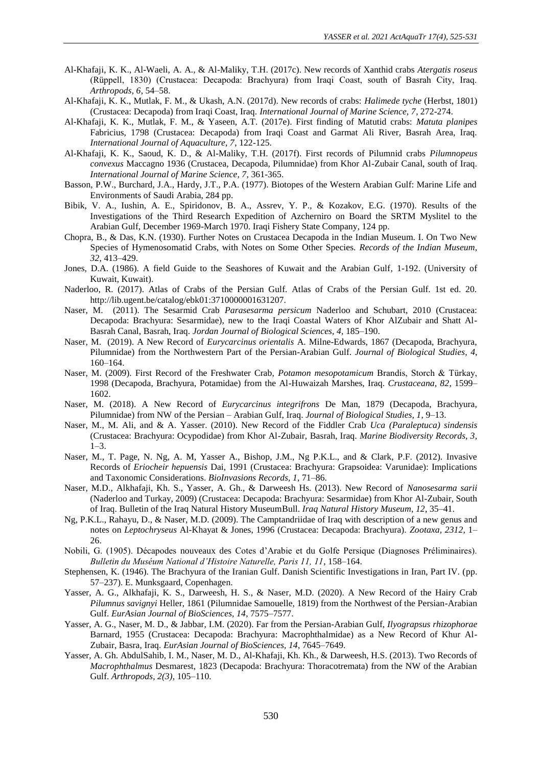- Al-Khafaji, K. K., Al-Waeli, A. A., & Al-Maliky, T.H. (2017c). New records of Xanthid crabs *Atergatis roseus* (Rüppell, 1830) (Crustacea: Decapoda: Brachyura) from Iraqi Coast, south of Basrah City, Iraq. *Arthropods, 6*, 54–58.
- Al-Khafaji, K. K., Mutlak, F. M., & Ukash, A.N. (2017d). New records of crabs: *Halimede tyche* (Herbst, 1801) (Crustacea: Decapoda) from Iraqi Coast, Iraq. *International Journal of Marine Science, 7*, 272-274.
- Al-Khafaji, K. K., Mutlak, F. M., & Yaseen, A.T. (2017e). First finding of Matutid crabs: *Matuta planipes* Fabricius, 1798 (Crustacea: Decapoda) from Iraqi Coast and Garmat Ali River, Basrah Area, Iraq. *International Journal of Aquaculture, 7*, 122-125.
- Al-Khafaji, K. K., Saoud, K. D., & Al-Maliky, T.H. (2017f). First records of Pilumnid crabs *Pilumnopeus convexus* Maccagno 1936 (Crustacea, Decapoda, Pilumnidae) from Khor Al-Zubair Canal, south of Iraq. *International Journal of Marine Science, 7*, 361-365.
- Basson, P.W., Burchard, J.A., Hardy, J.T., P.A. (1977). Biotopes of the Western Arabian Gulf: Marine Life and Environments of Saudi Arabia, 284 pp.
- Bibik, V. A., Iushin, A. E., Spiridonov, B. A., Assrev, Y. P., & Kozakov, E.G. (1970). Results of the Investigations of the Third Research Expedition of Azcherniro on Board the SRTM Myslitel to the Arabian Gulf, December 1969-March 1970. Iraqi Fishery State Company, 124 pp.
- Chopra, B., & Das, K.N. (1930). Further Notes on Crustacea Decapoda in the Indian Museum. I. On Two New Species of Hymenosomatid Crabs, with Notes on Some Other Species. *Records of the Indian Museum, 32*, 413–429.
- Jones, D.A. (1986). A field Guide to the Seashores of Kuwait and the Arabian Gulf, 1-192. (University of Kuwait, Kuwait).
- Naderloo, R. (2017). Atlas of Crabs of the Persian Gulf. Atlas of Crabs of the Persian Gulf. 1st ed. 20. http://lib.ugent.be/catalog/ebk01:3710000001631207.
- Naser, M. (2011). The Sesarmid Crab *Parasesarma persicum* Naderloo and Schubart, 2010 (Crustacea: Decapoda: Brachyura: Sesarmidae), new to the Iraqi Coastal Waters of Khor AlZubair and Shatt Al-Basrah Canal, Basrah, Iraq. *Jordan Journal of Biological Sciences, 4*, 185–190.
- Naser, M. (2019). A New Record of *Eurycarcinus orientalis* A. Milne-Edwards, 1867 (Decapoda, Brachyura, Pilumnidae) from the Northwestern Part of the Persian-Arabian Gulf. *Journal of Biological Studies*, *4*, 160–164.
- Naser, M. (2009). First Record of the Freshwater Crab, *Potamon mesopotamicum* Brandis, Storch & Türkay, 1998 (Decapoda, Brachyura, Potamidae) from the Al-Huwaizah Marshes, Iraq. *Crustaceana, 82*, 1599– 1602.
- Naser, M. (2018). A New Record of *Eurycarcinus integrifrons* De Man, 1879 (Decapoda, Brachyura, Pilumnidae) from NW of the Persian – Arabian Gulf, Iraq. *Journal of Biological Studies, 1*, 9–13.
- Naser, M., M. Ali, and & A. Yasser. (2010). New Record of the Fiddler Crab *Uca (Paraleptuca) sindensis* (Crustacea: Brachyura: Ocypodidae) from Khor Al-Zubair, Basrah, Iraq. *Marine Biodiversity Records, 3*,  $1-3.$
- Naser, M., T. Page, N. Ng, A. M, Yasser A., Bishop, J.M., Ng P.K.L., and & Clark, P.F. (2012). Invasive Records of *Eriocheir hepuensis* Dai, 1991 (Crustacea: Brachyura: Grapsoidea: Varunidae): Implications and Taxonomic Considerations. *BioInvasions Records, 1*, 71–86.
- Naser, M.D., Alkhafaji, Kh. S., Yasser, A. Gh., & Darweesh Hs. (2013). New Record of *Nanosesarma sarii* (Naderloo and Turkay, 2009) (Crustacea: Decapoda: Brachyura: Sesarmidae) from Khor Al-Zubair, South of Iraq. Bulletin of the Iraq Natural History MuseumBull. *Iraq Natural History Museum, 12*, 35–41.
- Ng, P.K.L., Rahayu, D., & Naser, M.D. (2009). The Camptandriidae of Iraq with description of a new genus and notes on *Leptochryseus* Al-Khayat & Jones, 1996 (Crustacea: Decapoda: Brachyura). *Zootaxa, 2312*, 1– 26.
- Nobili, G. (1905). Décapodes nouveaux des Cotes d'Arabie et du Golfe Persique (Diagnoses Préliminaires). *Bulletin du Muséum National d'Histoire Naturelle, Paris 11, 11*, 158–164.
- Stephensen, K. (1946). The Brachyura of the Iranian Gulf. Danish Scientific Investigations in Iran, Part IV. (pp. 57–237). E. Munksgaard, Copenhagen.
- Yasser, A. G., Alkhafaji, K. S., Darweesh, H. S., & Naser, M.D. (2020). A New Record of the Hairy Crab *Pilumnus savignyi* Heller, 1861 (Pilumnidae Samouelle, 1819) from the Northwest of the Persian-Arabian Gulf. *EurAsian Journal of BioSciences, 14*, 7575–7577.
- Yasser, A. G., Naser, M. D., & Jabbar, I.M. (2020). Far from the Persian-Arabian Gulf, *Ilyograpsus rhizophorae* Barnard, 1955 (Crustacea: Decapoda: Brachyura: Macrophthalmidae) as a New Record of Khur Al-Zubair, Basra, Iraq. *EurAsian Journal of BioSciences, 14*, 7645–7649.
- Yasser, A. Gh. AbdulSahib, I. M., Naser, M. D., Al-Khafaji, Kh. Kh., & Darweesh, H.S. (2013). Two Records of *Macrophthalmus* Desmarest, 1823 (Decapoda: Brachyura: Thoracotremata) from the NW of the Arabian Gulf. *Arthropods, 2(3)*, 105–110.